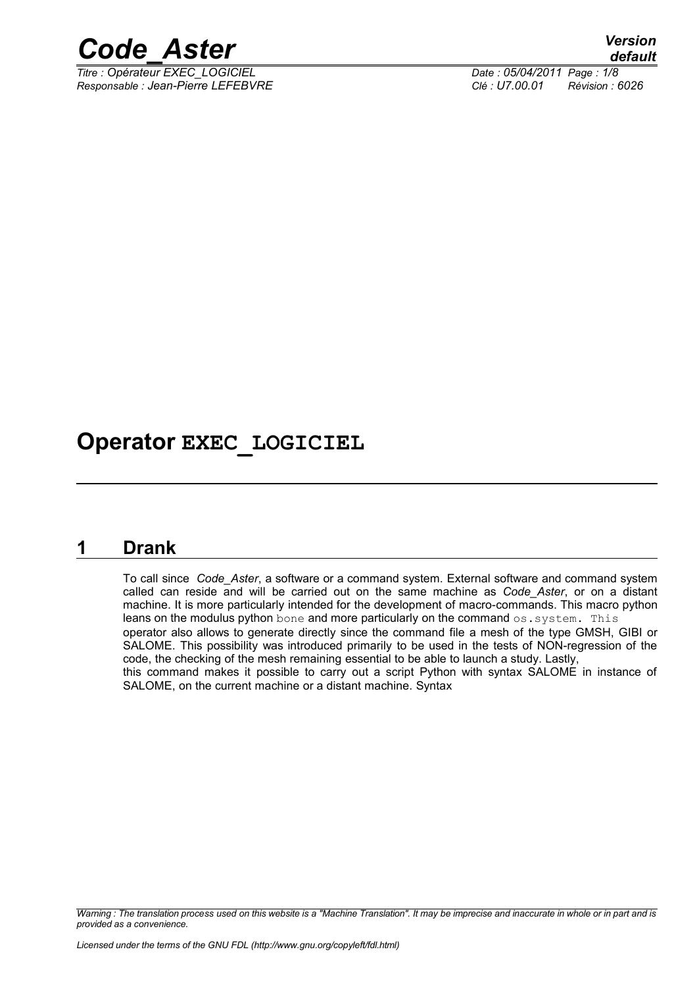

*Titre : Opérateur EXEC\_LOGICIEL Date : 05/04/2011 Page : 1/8 Responsable : Jean-Pierre LEFEBVRE Clé : U7.00.01 Révision : 6026*

## **Operator EXEC\_LOGICIEL**

### **1 Drank**

To call since *Code\_Aster*, a software or a command system. External software and command system called can reside and will be carried out on the same machine as *Code\_Aster*, or on a distant machine. It is more particularly intended for the development of macro-commands. This macro python leans on the modulus python bone and more particularly on the command os.system. This operator also allows to generate directly since the command file a mesh of the type GMSH, GIBI or SALOME. This possibility was introduced primarily to be used in the tests of NON-regression of the code, the checking of the mesh remaining essential to be able to launch a study. Lastly, this command makes it possible to carry out a script Python with syntax SALOME in instance of SALOME, on the current machine or a distant machine. Syntax

*Warning : The translation process used on this website is a "Machine Translation". It may be imprecise and inaccurate in whole or in part and is provided as a convenience.*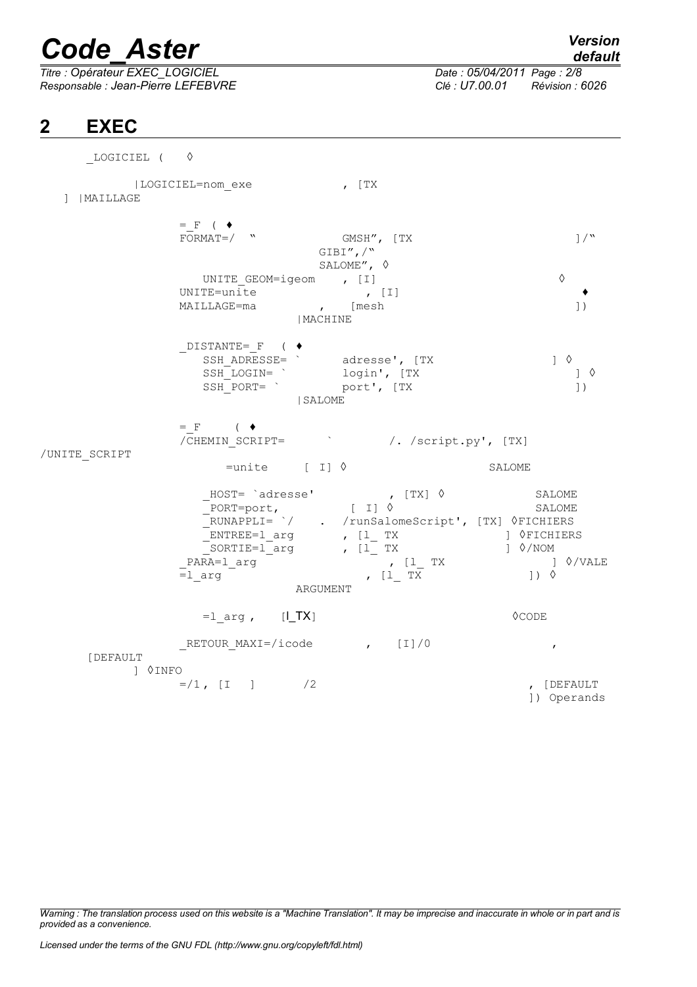*Titre : Opérateur EXEC\_LOGICIEL Date : 05/04/2011 Page : 2/8 Responsable : Jean-Pierre LEFEBVRE Clé : U7.00.01 Révision : 6026*

## **2 EXEC**

| MAILLAGE      | LOGICIEL=nom exe                                                                                                                       | , [TX                                                                                                                                                                                                                                                                                                                                                                                                                                                                                                                                                                                                                    |                                                                |
|---------------|----------------------------------------------------------------------------------------------------------------------------------------|--------------------------------------------------------------------------------------------------------------------------------------------------------------------------------------------------------------------------------------------------------------------------------------------------------------------------------------------------------------------------------------------------------------------------------------------------------------------------------------------------------------------------------------------------------------------------------------------------------------------------|----------------------------------------------------------------|
| /UNITE SCRIPT | $=$ F ( $\blacklozenge$<br>$FORMAT = /$ "                                                                                              | GMSH", [TX<br>$GIBI'',$ /"<br>SALOME", $\diamond$                                                                                                                                                                                                                                                                                                                                                                                                                                                                                                                                                                        | $\left. \frac{1}{\sqrt{2}} \right.$                            |
|               | UNITE GEOM=igeom , [I]<br>UNITE=unite , [I]<br>MAILLAGE=ma , [mesh                                                                     | MACHINE                                                                                                                                                                                                                                                                                                                                                                                                                                                                                                                                                                                                                  | ♦<br>$\left  \ \right $                                        |
|               | DISTANTE= F ( ♦<br>SIANIE- <sup>"</sup> SSH_ADRESSE= " adresse', [TX<br>SSH_LOGIN= " login', [TX<br>SSH_PORT= " port', [TX<br>  SALOME |                                                                                                                                                                                                                                                                                                                                                                                                                                                                                                                                                                                                                          | $1 \circ$<br>$\left  \right $ $\Diamond$<br>$\left  \ \right $ |
|               | $=$ F ( $\bullet$ )<br>/CHEMIN SCRIPT=<br>$=$ unite [ I] $\Diamond$                                                                    | /. /script.py', [TX]                                                                                                                                                                                                                                                                                                                                                                                                                                                                                                                                                                                                     | SALOME                                                         |
|               | _PARA=1_arg<br>$=1$ arg<br>ARGUMENT                                                                                                    | MOST= `adresse' (ITX) 0 SALOME<br>PORT=port, [I] 0 SALOME<br>RUNAPPLI= `/ . /runSalomeScript', [TX] 0FICHIERS<br>${\begin{array}{ccc}\n{\begin{array}{ccc}\n\text{EMIME} = 1 \text{ arg} \\ \text{SORTHE} = 1 \text{ arg} \\ \text{R3} = 1 \text{ arg} \\ \end{array}} & {\begin{array}{ccc}\n\text{[1} \text{TX} \\ \text{[1] \text{TX}}\n\end{array}} & {\begin{array}{ccc}\n\text{[1] \text{Q}} \\ \text{[1] \text{Q}}\n\end{array}} & {\begin{array}{ccc}\n\text{[1] \text{Q}} \\ \text{[1] \text{Q}}\n\end{array}} & {\begin{array}{ccc}\n\text{[1] \text{Q}} \\ \text{[1] \text{Q}}\n\end$<br>, [1 TX<br>$, [1$ TX | SALOME<br>SALOME                                               |
|               | $=1$ arg, $[1_TX]$                                                                                                                     |                                                                                                                                                                                                                                                                                                                                                                                                                                                                                                                                                                                                                          | $\Diamond$ CODE                                                |
| [DEFAULT      | RETOUR MAXI=/icode $\qquad \qquad$ , [I]/0                                                                                             |                                                                                                                                                                                                                                                                                                                                                                                                                                                                                                                                                                                                                          | $\boldsymbol{r}$                                               |
| 1 0INFO       | $= / 1$ , [I ] /2                                                                                                                      |                                                                                                                                                                                                                                                                                                                                                                                                                                                                                                                                                                                                                          | , [DEFAULT<br>]) Operands                                      |

*Warning : The translation process used on this website is a "Machine Translation". It may be imprecise and inaccurate in whole or in part and is provided as a convenience.*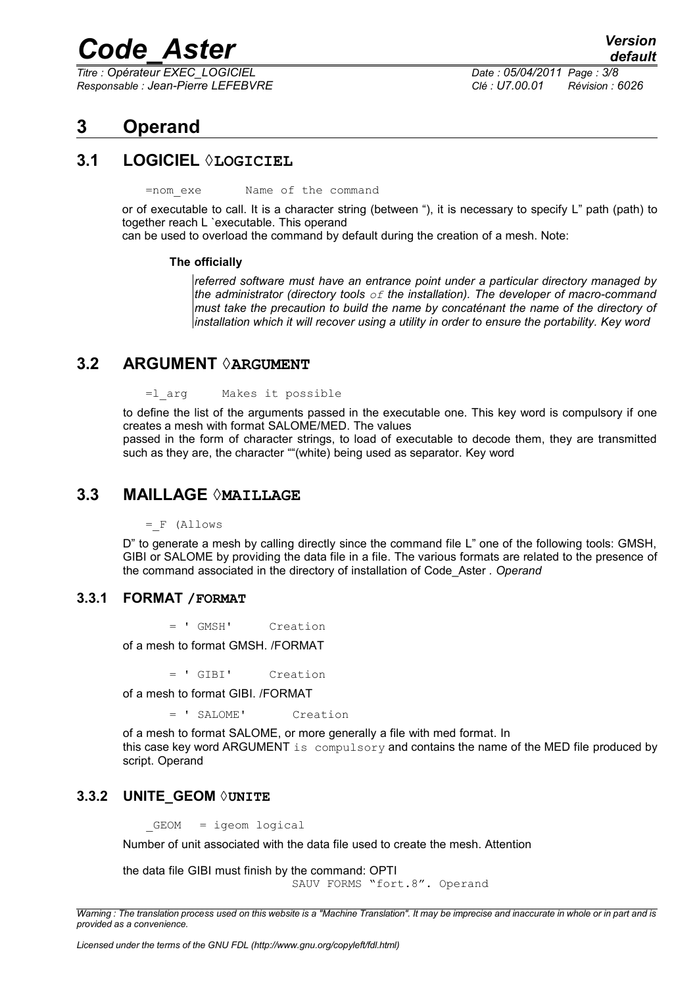*Titre : Opérateur EXEC\_LOGICIEL Date : 05/04/2011 Page : 3/8 Responsable : Jean-Pierre LEFEBVRE Clé : U7.00.01 Révision : 6026*

## **3 Operand**

#### **3.1 LOGICIEL ◊LOGICIEL**

=nom\_exe Name of the command

or of executable to call. It is a character string (between "), it is necessary to specify L" path (path) to together reach L `executable. This operand

can be used to overload the command by default during the creation of a mesh. Note:

#### **The officially**

*referred software must have an entrance point under a particular directory managed by the administrator (directory tools of the installation). The developer of macro-command must take the precaution to build the name by concaténant the name of the directory of installation which it will recover using a utility in order to ensure the portability. Key word*

#### **3.2 ARGUMENT ◊ARGUMENT**

=l\_arg Makes it possible

to define the list of the arguments passed in the executable one. This key word is compulsory if one creates a mesh with format SALOME/MED. The values

passed in the form of character strings, to load of executable to decode them, they are transmitted such as they are, the character ""(white) being used as separator. Key word

#### **3.3 MAILLAGE ◊MAILLAGE**

=\_F (Allows

D" to generate a mesh by calling directly since the command file L" one of the following tools: GMSH, GIBI or SALOME by providing the data file in a file. The various formats are related to the presence of the command associated in the directory of installation of Code\_Aster *. Operand*

#### **3.3.1 FORMAT /FORMAT**

= ' GMSH' Creation

of a mesh to format GMSH. /FORMAT

= ' GIBI' Creation

of a mesh to format GIBI. /FORMAT

= ' SALOME' Creation

of a mesh to format SALOME, or more generally a file with med format. In this case key word ARGUMENT is compulsory and contains the name of the MED file produced by script. Operand

#### **3.3.2 UNITE\_GEOM ◊UNITE**

GEOM = igeom logical

Number of unit associated with the data file used to create the mesh. Attention

the data file GIBI must finish by the command: OPTI SAUV FORMS "fort.8". Operand

*Warning : The translation process used on this website is a "Machine Translation". It may be imprecise and inaccurate in whole or in part and is provided as a convenience.*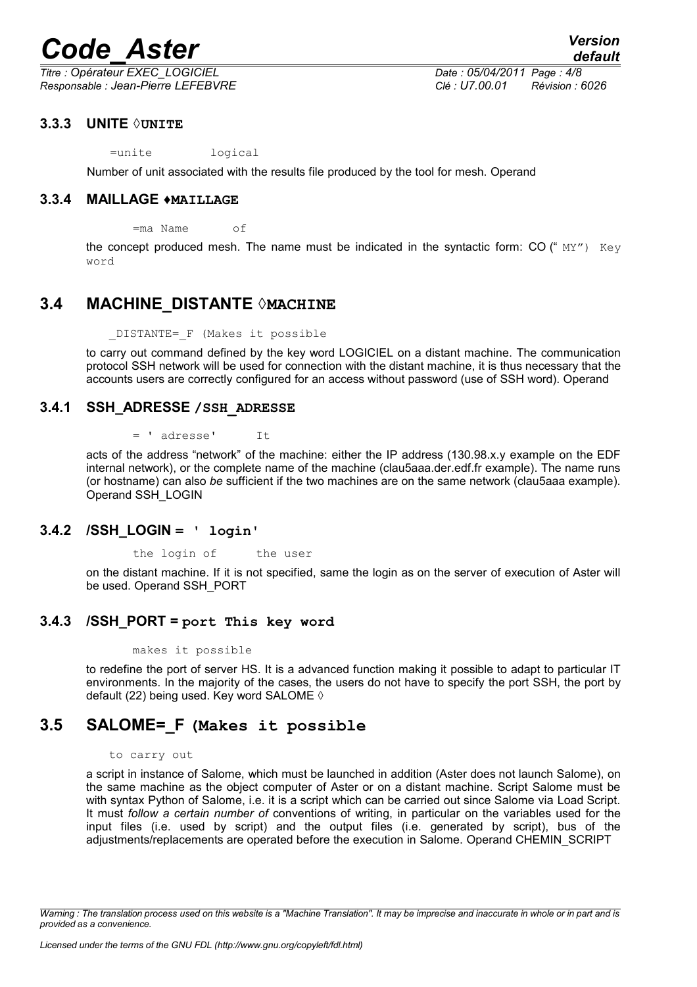*Titre : Opérateur EXEC\_LOGICIEL Date : 05/04/2011 Page : 4/8 Responsable : Jean-Pierre LEFEBVRE Clé : U7.00.01 Révision : 6026*

#### **3.3.3 UNITE ◊UNITE**

=unite logical

Number of unit associated with the results file produced by the tool for mesh. Operand

#### **3.3.4 MAILLAGE ♦MAILLAGE**

=ma Name of

the concept produced mesh. The name must be indicated in the syntactic form: CO  $(" MY")$  Key word

#### **3.4 MACHINE\_DISTANTE ◊MACHINE**

\_DISTANTE=\_F (Makes it possible

to carry out command defined by the key word LOGICIEL on a distant machine. The communication protocol SSH network will be used for connection with the distant machine, it is thus necessary that the accounts users are correctly configured for an access without password (use of SSH word). Operand

#### **3.4.1 SSH\_ADRESSE /SSH\_ADRESSE**

= ' adresse' It

acts of the address "network" of the machine: either the IP address (130.98.x.y example on the EDF internal network), or the complete name of the machine (clau5aaa.der.edf.fr example). The name runs (or hostname) can also *be* sufficient if the two machines are on the same network (clau5aaa example). Operand SSH\_LOGIN

#### **3.4.2 /SSH\_LOGIN = ' login'**

the login of the user

on the distant machine. If it is not specified, same the login as on the server of execution of Aster will be used. Operand SSH\_PORT

#### **3.4.3 /SSH\_PORT = port This key word**

makes it possible

to redefine the port of server HS. It is a advanced function making it possible to adapt to particular IT environments. In the majority of the cases, the users do not have to specify the port SSH, the port by default (22) being used. Key word SALOME ◊

### **3.5 SALOME=\_F (Makes it possible**

#### to carry out

a script in instance of Salome, which must be launched in addition (Aster does not launch Salome), on the same machine as the object computer of Aster or on a distant machine. Script Salome must be with syntax Python of Salome, i.e. it is a script which can be carried out since Salome via Load Script. It must *follow a certain number of* conventions of writing, in particular on the variables used for the input files (i.e. used by script) and the output files (i.e. generated by script), bus of the adjustments/replacements are operated before the execution in Salome. Operand CHEMIN\_SCRIPT

*Warning : The translation process used on this website is a "Machine Translation". It may be imprecise and inaccurate in whole or in part and is provided as a convenience.*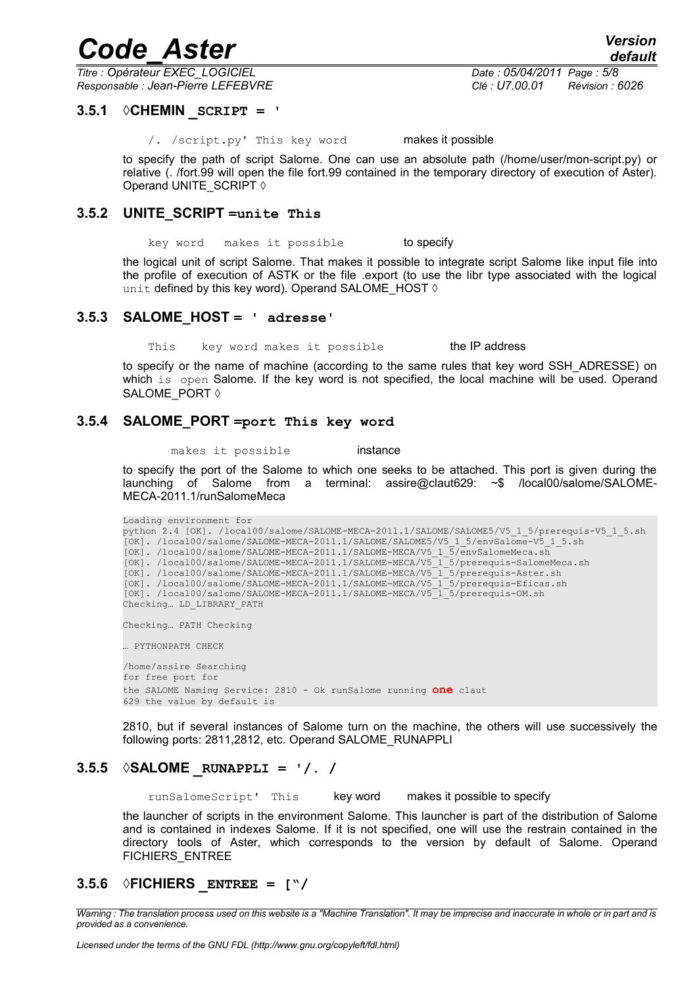*Titre : Opérateur EXEC\_LOGICIEL Date : 05/04/2011 Page : 5/8 Responsable : Jean-Pierre LEFEBVRE Clé : U7.00.01 Révision : 6026*

*default*

#### **3.5.1 ◊CHEMIN \_SCRIPT = '**

/. /script.py' This key word makes it possible

to specify the path of script Salome. One can use an absolute path (/home/user/mon-script.py) or relative (. /fort.99 will open the file fort.99 contained in the temporary directory of execution of Aster). Operand UNITE\_SCRIPT ◊

#### **3.5.2 UNITE\_SCRIPT =unite This**

key word makes it possible to specify

the logical unit of script Salome. That makes it possible to integrate script Salome like input file into the profile of execution of ASTK or the file .export (to use the libr type associated with the logical unit defined by this key word). Operand SALOME\_HOST  $\Diamond$ 

#### **3.5.3 SALOME\_HOST = ' adresse'**

This key word makes it possible the IP address

to specify or the name of machine (according to the same rules that key word SSH\_ADRESSE) on which is open Salome. If the key word is not specified, the local machine will be used. Operand SALOME\_PORT ◊

#### **3.5.4 SALOME\_PORT =port This key word**

makes it possible **instance** 

to specify the port of the Salome to which one seeks to be attached. This port is given during the launching of Salome from a terminal: assire@claut629: ~\$ /local00/salome/SALOME-MECA-2011.1/runSalomeMeca

```
Loading environment for
python 2.4 [OK]. /local00/salome/SALOME-MECA-2011.1/SALOME/SALOME5/V5_1_5/prerequis-V5_1_5.sh
[OK]. /local00/salome/SALOME-MECA-2011.1/SALOME/SALOME5/V5_1_5/envSalome-V5_1_5.sh
[OK]. /local00/salome/SALOME-MECA-2011.1/SALOME-MECA/V5_1_5/envSalomeMeca.sh
[OK]. /local00/salome/SALOME-MECA-2011.1/SALOME-MECA/V5_1_5/prerequis-SalomeMeca.sh
[OK]. /local00/salome/SALOME-MECA-2011.1/SALOME-MECA/V5_1_5/prerequis-Aster.sh
[OK]. /local00/salome/SALOME-MECA-2011.1/SALOME-MECA/V5_1_5/prerequis-Eficas.sh
[OK]. /local00/salome/SALOME-MECA-2011.1/SALOME-MECA/V5_1_5/prerequis-OM.sh
Checking… LD_LIBRARY_PATH
Checking… PATH Checking
… PYTHONPATH CHECK
/home/assire Searching
for free port for
the SALOME Naming Service: 2810 - Ok runSalome running one claut
629 the value by default is
```
2810, but if several instances of Salome turn on the machine, the others will use successively the following ports: 2811,2812, etc. Operand SALOME\_RUNAPPLI

#### **3.5.5 ◊SALOME \_RUNAPPLI = '/. /**

runSalomeScript' This key word makes it possible to specify

the launcher of scripts in the environment Salome. This launcher is part of the distribution of Salome and is contained in indexes Salome. If it is not specified, one will use the restrain contained in the directory tools of Aster, which corresponds to the version by default of Salome. Operand FICHIERS\_ENTREE

#### **3.5.6 ◊FICHIERS \_ENTREE = ["/**

*Warning : The translation process used on this website is a "Machine Translation". It may be imprecise and inaccurate in whole or in part and is provided as a convenience.*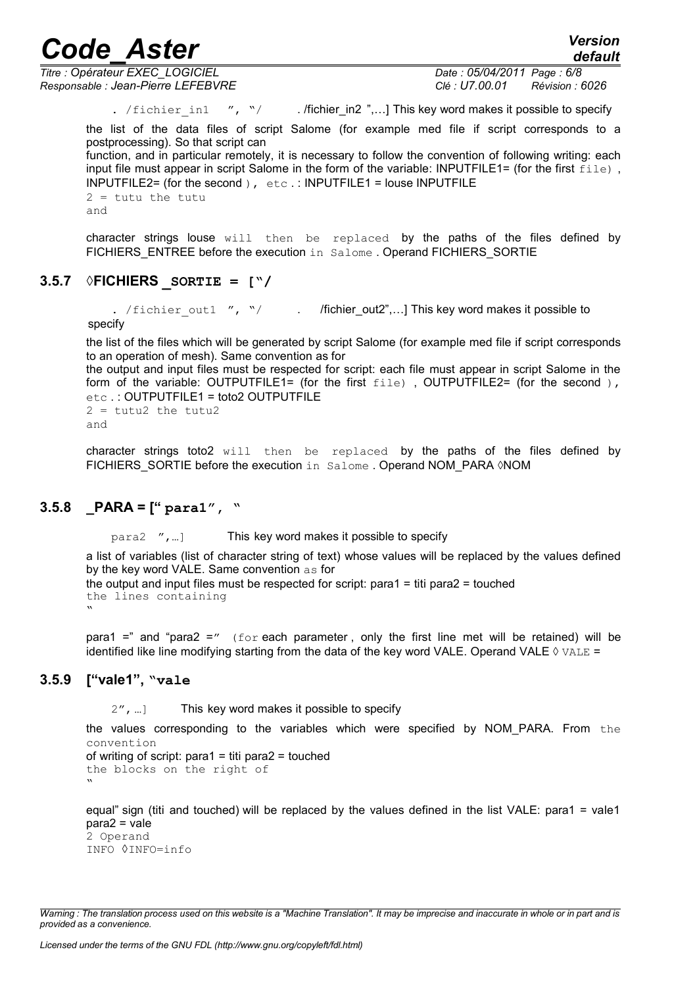*Titre : Opérateur EXEC\_LOGICIEL Date : 05/04/2011 Page : 6/8 Responsable : Jean-Pierre LEFEBVRE Clé : U7.00.01 Révision : 6026*

*default*

. /fichier in1 ", "/ . /fichier in2 ",...] This key word makes it possible to specify

the list of the data files of script Salome (for example med file if script corresponds to a postprocessing). So that script can

function, and in particular remotely, it is necessary to follow the convention of following writing: each input file must appear in script Salome in the form of the variable: INPUTFILE1= (for the first file), INPUTFILE2= (for the second ),  $etc.$ : INPUTFILE1 = louse INPUTFILE  $2 =$  tutu the tutu

and

character strings louse will then be replaced by the paths of the files defined by FICHIERS ENTREE before the execution in Salome . Operand FICHIERS SORTIE

#### **3.5.7 ◊FICHIERS \_SORTIE = ["/**

. /fichier\_out1 ", "/ . /fichier\_out2",...] This key word makes it possible to specify

the list of the files which will be generated by script Salome (for example med file if script corresponds to an operation of mesh). Same convention as for

the output and input files must be respected for script: each file must appear in script Salome in the form of the variable: OUTPUTFILE1= (for the first file), OUTPUTFILE2= (for the second), etc . : OUTPUTFILE1 = toto2 OUTPUTFILE  $2 = \text{tutu2}$  the tutu2

and

character strings toto2 will then be replaced by the paths of the files defined by FICHIERS SORTIE before the execution in Salome . Operand NOM\_PARA ◊NOM

### **3.5.8 \_PARA = [" para1", "**

para2 ",…] This key word makes it possible to specify

a list of variables (list of character string of text) whose values will be replaced by the values defined by the key word VALE. Same convention as for

```
the output and input files must be respected for script: para1 = titi para2 = touched
the lines containing
```
 $\mathbf{v}$ 

para1 =" and "para2 ="  $(for each parameter, only the first line met will be retained) will be$ identified like line modifying starting from the data of the key word VALE. Operand VALE  $\Diamond$  VALE =

#### **3.5.9 ["vale1", "vale**

2", ...] This key word makes it possible to specify

the values corresponding to the variables which were specified by NOM\_PARA. From the convention

```
of writing of script: para1 = titi para2 = touchedthe blocks on the right of
"
```
equal" sign (titi and touched) will be replaced by the values defined in the list VALE: para1 = vale1  $para2 = vale$ 2 Operand INFO ◊INFO=info

*Warning : The translation process used on this website is a "Machine Translation". It may be imprecise and inaccurate in whole or in part and is provided as a convenience.*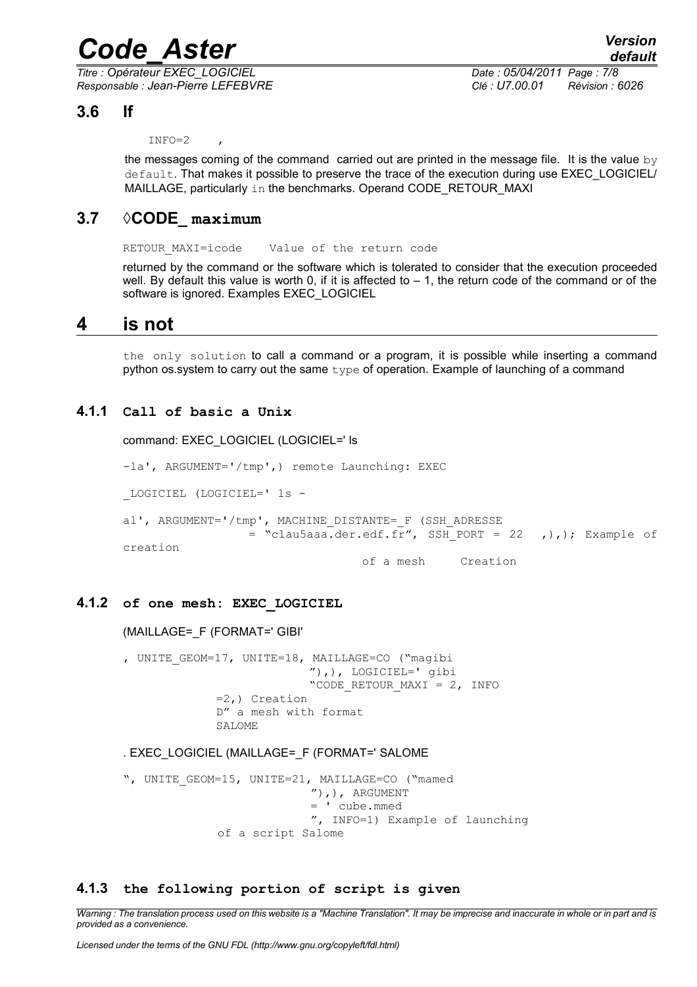*Titre : Opérateur EXEC\_LOGICIEL Date : 05/04/2011 Page : 7/8 Responsable : Jean-Pierre LEFEBVRE Clé : U7.00.01 Révision : 6026*

### **3.6 If**

#### $INFO=2$

the messages coming of the command carried out are printed in the message file. It is the value  $by$ default. That makes it possible to preserve the trace of the execution during use EXEC\_LOGICIEL/ MAILLAGE, particularly in the benchmarks. Operand CODE\_RETOUR\_MAXI

#### **3.7 ◊CODE\_ maximum**

RETOUR MAXI=icode Value of the return code

returned by the command or the software which is tolerated to consider that the execution proceeded well. By default this value is worth 0, if it is affected to  $-1$ , the return code of the command or of the software is ignored. Examples EXEC\_LOGICIEL

### **4 is not**

the only solution to call a command or a program, it is possible while inserting a command python os.system to carry out the same  $type$  of operation. Example of launching of a command

#### **4.1.1 Call of basic a Unix**

command: EXEC\_LOGICIEL (LOGICIEL=' ls

-la', ARGUMENT='/tmp',) remote Launching: EXEC

\_LOGICIEL (LOGICIEL=' ls -

al', ARGUMENT='/tmp', MACHINE\_DISTANTE=\_F (SSH\_ADRESSE = "clau5aaa.der.edf.fr", SSH\_PORT = 22 ,),); Example of creation

of a mesh Creation

#### **4.1.2 of one mesh: EXEC\_LOGICIEL**

#### (MAILLAGE=\_F (FORMAT=' GIBI'

, UNITE GEOM=17, UNITE=18, MAILLAGE=CO ("magibi "),), LOGICIEL=' gibi "CODE RETOUR MAXI =  $2$ , INFO =2,) Creation D" a mesh with format SALOME

#### . EXEC\_LOGICIEL (MAILLAGE=\_F (FORMAT=' SALOME

", UNITE GEOM=15, UNITE=21, MAILLAGE=CO ("mamed  $'')$ , ), ARGUMENT = ' cube.mmed ", INFO=1) Example of launching of a script Salome

#### **4.1.3 the following portion of script is given**

*Warning : The translation process used on this website is a "Machine Translation". It may be imprecise and inaccurate in whole or in part and is provided as a convenience.*